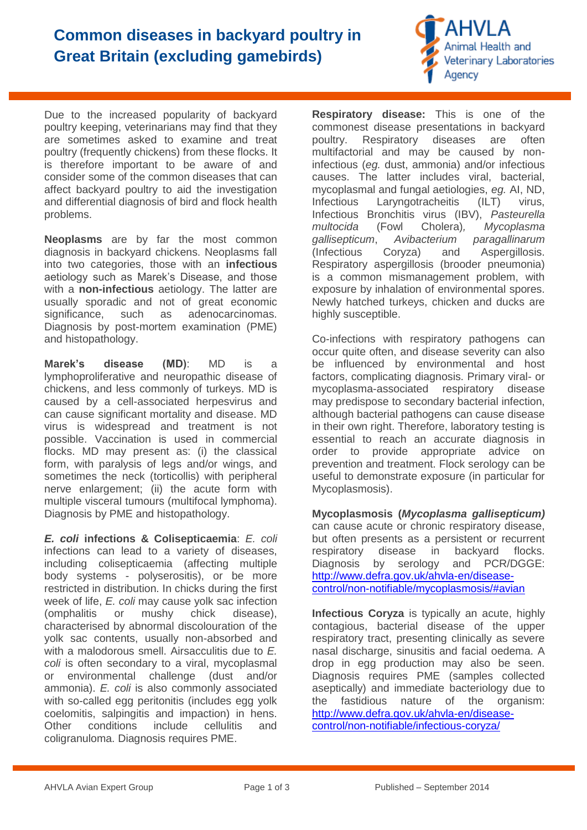## **Common diseases in backyard poultry in Great Britain (excluding gamebirds)**



Due to the increased popularity of backyard poultry keeping, veterinarians may find that they are sometimes asked to examine and treat poultry (frequently chickens) from these flocks. It is therefore important to be aware of and consider some of the common diseases that can affect backyard poultry to aid the investigation and differential diagnosis of bird and flock health problems.

**Neoplasms** are by far the most common diagnosis in backyard chickens. Neoplasms fall into two categories, those with an **infectious** aetiology such as Marek's Disease, and those with a **non-infectious** aetiology. The latter are usually sporadic and not of great economic significance, such as adenocarcinomas. Diagnosis by post-mortem examination (PME) and histopathology.

**Marek's disease (MD)**: MD is a lymphoproliferative and neuropathic disease of chickens, and less commonly of turkeys. MD is caused by a cell-associated herpesvirus and can cause significant mortality and disease. MD virus is widespread and treatment is not possible. Vaccination is used in commercial flocks. MD may present as: (i) the classical form, with paralysis of legs and/or wings, and sometimes the neck (torticollis) with peripheral nerve enlargement; (ii) the acute form with multiple visceral tumours (multifocal lymphoma). Diagnosis by PME and histopathology.

*E. coli* **infections & Colisepticaemia**: *E. coli* infections can lead to a variety of diseases, including colisepticaemia (affecting multiple body systems - polyserositis), or be more restricted in distribution. In chicks during the first week of life, *E. coli* may cause yolk sac infection (omphalitis or mushy chick disease), characterised by abnormal discolouration of the yolk sac contents, usually non-absorbed and with a malodorous smell. Airsacculitis due to *E.*  coli is often secondary to a viral, mycoplasmal or environmental challenge (dust and/or ammonia). *E. coli* is also commonly associated with so-called egg peritonitis (includes egg yolk coelomitis, salpingitis and impaction) in hens. Other conditions include cellulitis and coligranuloma. Diagnosis requires PME.

**Respiratory disease:** This is one of the commonest disease presentations in backyard poultry. Respiratory diseases are often multifactorial and may be caused by noninfectious (*eg.* dust, ammonia) and/or infectious causes. The latter includes viral, bacterial, mycoplasmal and fungal aetiologies, *eg.* AI, ND, Infectious Laryngotracheitis (ILT) virus, Infectious Bronchitis virus (IBV), *Pasteurella multocida* (Fowl Cholera)*, Mycoplasma gallisepticum*, *Avibacterium paragallinarum*  (Infectious Coryza) and Aspergillosis. Respiratory aspergillosis (brooder pneumonia) is a common mismanagement problem, with exposure by inhalation of environmental spores. Newly hatched turkeys, chicken and ducks are highly susceptible.

Co-infections with respiratory pathogens can occur quite often, and disease severity can also be influenced by environmental and host factors, complicating diagnosis. Primary viral- or mycoplasma-associated respiratory disease may predispose to secondary bacterial infection, although bacterial pathogens can cause disease in their own right. Therefore, laboratory testing is essential to reach an accurate diagnosis in order to provide appropriate advice on prevention and treatment. Flock serology can be useful to demonstrate exposure (in particular for Mycoplasmosis).

**Mycoplasmosis (***Mycoplasma gallisepticum)* can cause acute or chronic respiratory disease, but often presents as a persistent or recurrent respiratory disease in backyard flocks. Diagnosis by serology and PCR/DGGE: [http://www.defra.gov.uk/ahvla-en/disease](http://www.defra.gov.uk/ahvla-en/disease-control/non-notifiable/mycoplasmosis/#avian)[control/non-notifiable/mycoplasmosis/#avian](http://www.defra.gov.uk/ahvla-en/disease-control/non-notifiable/mycoplasmosis/#avian)

**Infectious Coryza** is typically an acute, highly contagious, bacterial disease of the upper respiratory tract, presenting clinically as severe nasal discharge, sinusitis and facial oedema. A drop in egg production may also be seen. Diagnosis requires PME (samples collected aseptically) and immediate bacteriology due to the fastidious nature of the organism: [http://www.defra.gov.uk/ahvla-en/disease](http://www.defra.gov.uk/ahvla-en/disease-control/non-notifiable/infectious-coryza/)[control/non-notifiable/infectious-coryza/](http://www.defra.gov.uk/ahvla-en/disease-control/non-notifiable/infectious-coryza/)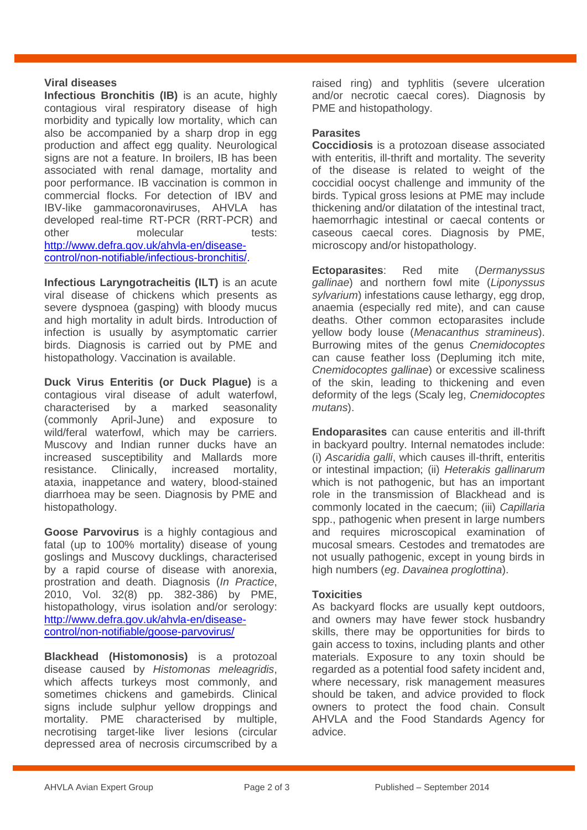#### **Viral diseases**

**Infectious Bronchitis (IB)** is an acute, highly contagious viral respiratory disease of high morbidity and typically low mortality, which can also be accompanied by a sharp drop in egg production and affect egg quality. Neurological signs are not a feature. In broilers, IB has been associated with renal damage, mortality and poor performance. IB vaccination is common in commercial flocks. For detection of IBV and IBV-like gammacoronaviruses, AHVLA has developed real-time RT-PCR (RRT-PCR) and other molecular tests: http://www.defra.gov.uk/ahvla-en/diseasecontrol/non-notifiable/infectious-bronchitis/.

**Infectious Laryngotracheitis (ILT)** is an acute viral disease of chickens which presents as severe dyspnoea (gasping) with bloody mucus and high mortality in adult birds. Introduction of infection is usually by asymptomatic carrier birds. Diagnosis is carried out by PME and histopathology. Vaccination is available.

**Duck Virus Enteritis (or Duck Plague)** is a contagious viral disease of adult waterfowl, characterised by a marked seasonality (commonly April-June) and exposure to wild/feral waterfowl, which may be carriers. Muscovy and Indian runner ducks have an increased susceptibility and Mallards more resistance. Clinically, increased mortality, ataxia, inappetance and watery, blood-stained diarrhoea may be seen. Diagnosis by PME and histopathology.

**Goose Parvovirus** is a highly contagious and fatal (up to 100% mortality) disease of young goslings and Muscovy ducklings, characterised by a rapid course of disease with anorexia, prostration and death. Diagnosis (*In Practice*, 2010, Vol. 32(8) pp. 382-386) by PME, histopathology, virus isolation and/or serology: [http://www.defra.gov.uk/ahvla-en/disease](http://www.defra.gov.uk/ahvla-en/disease-control/non-notifiable/goose-parvovirus/)[control/non-notifiable/goose-parvovirus/](http://www.defra.gov.uk/ahvla-en/disease-control/non-notifiable/goose-parvovirus/) 

**Blackhead (Histomonosis)** is a protozoal disease caused by *Histomonas meleagridis*, which affects turkeys most commonly, and sometimes chickens and gamebirds. Clinical signs include sulphur vellow droppings and mortality. PME characterised by multiple, necrotising target-like liver lesions (circular depressed area of necrosis circumscribed by a

raised ring) and typhlitis (severe ulceration and/or necrotic caecal cores). Diagnosis by PME and histopathology.

#### **Parasites**

**Coccidiosis** is a protozoan disease associated with enteritis, ill-thrift and mortality. The severity of the disease is related to weight of the coccidial oocyst challenge and immunity of the birds. Typical gross lesions at PME may include thickening and/or dilatation of the intestinal tract, haemorrhagic intestinal or caecal contents or caseous caecal cores. Diagnosis by PME, microscopy and/or histopathology.

**Ectoparasites**: Red mite (*Dermanyssus gallinae*) and northern fowl mite (*Liponyssus sylvarium*) infestations cause lethargy, egg drop, anaemia (especially red mite), and can cause deaths. Other common ectoparasites include yellow body louse (*Menacanthus stramineus*). Burrowing mites of the genus *Cnemidocoptes*  can cause feather loss (Depluming itch mite, *Cnemidocoptes gallinae*) or excessive scaliness of the skin, leading to thickening and even deformity of the legs (Scaly leg, *Cnemidocoptes mutans*).

**Endoparasites** can cause enteritis and ill-thrift in backyard poultry. Internal nematodes include: (i) *Ascaridia galli*, which causes ill-thrift, enteritis or intestinal impaction; (ii) *Heterakis gallinarum* which is not pathogenic, but has an important role in the transmission of Blackhead and is commonly located in the caecum; (iii) *Capillaria* spp., pathogenic when present in large numbers and requires microscopical examination of mucosal smears. Cestodes and trematodes are not usually pathogenic, except in young birds in high numbers (*eg*. *Davainea proglottina*).

#### **Toxicities**

As backyard flocks are usually kept outdoors, and owners may have fewer stock husbandry skills, there may be opportunities for birds to gain access to toxins, including plants and other materials. Exposure to any toxin should be regarded as a potential food safety incident and, where necessary, risk management measures should be taken, and advice provided to flock owners to protect the food chain. Consult AHVLA and the Food Standards Agency for advice.